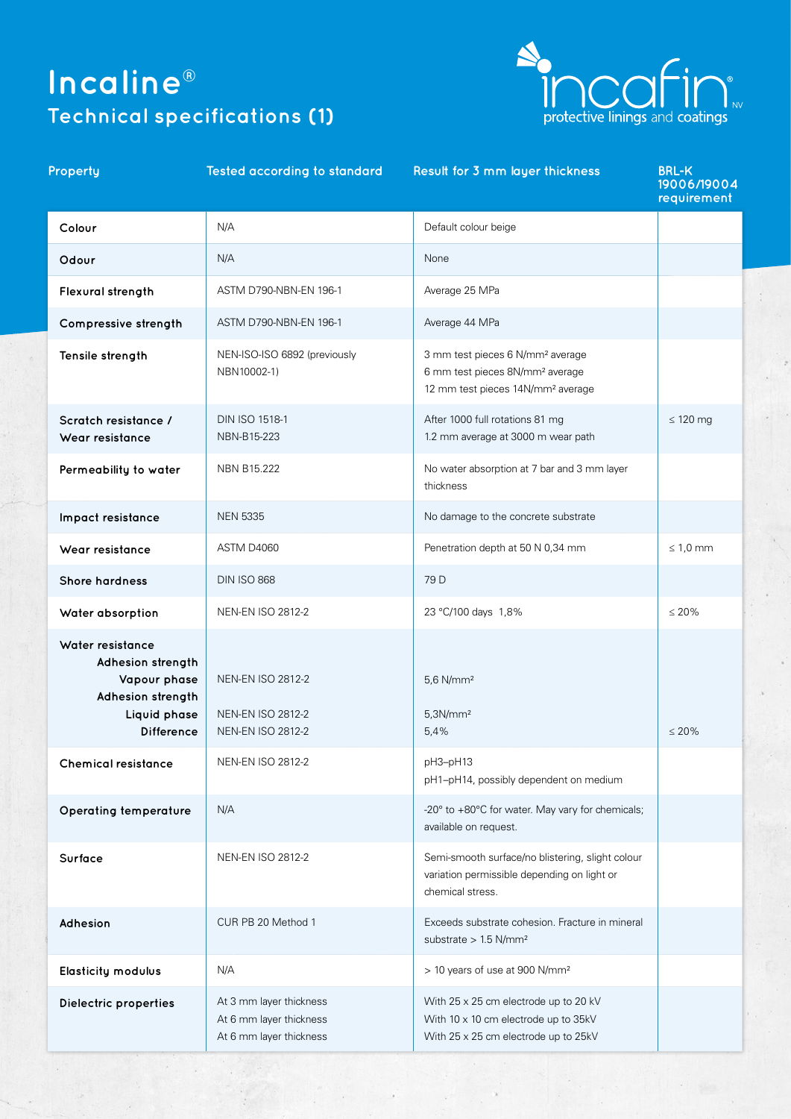# **Incaline® Technical specifications (1)**



## **Property Tested according to standard Result for 3 mm layer thickness BRL-K**

|                  | 19006/19004<br>requirement |
|------------------|----------------------------|
| ult colour beige |                            |
|                  |                            |
| ge 25 MPa        |                            |
|                  |                            |

| Colour                                                                                                          | N/A                                                                              | Default colour beige                                                                                                                         |               |
|-----------------------------------------------------------------------------------------------------------------|----------------------------------------------------------------------------------|----------------------------------------------------------------------------------------------------------------------------------------------|---------------|
| Odour                                                                                                           | N/A                                                                              | None                                                                                                                                         |               |
| Flexural strength                                                                                               | ASTM D790-NBN-EN 196-1                                                           | Average 25 MPa                                                                                                                               |               |
| Compressive strength                                                                                            | ASTM D790-NBN-EN 196-1                                                           | Average 44 MPa                                                                                                                               |               |
| Tensile strength                                                                                                | NEN-ISO-ISO 6892 (previously<br>NBN10002-1)                                      | 3 mm test pieces 6 N/mm <sup>2</sup> average<br>6 mm test pieces 8N/mm <sup>2</sup> average<br>12 mm test pieces 14N/mm <sup>2</sup> average |               |
| Scratch resistance /<br>Wear resistance                                                                         | <b>DIN ISO 1518-1</b><br>NBN-B15-223                                             | After 1000 full rotations 81 mg<br>1.2 mm average at 3000 m wear path                                                                        | $\leq 120$ mg |
| Permeability to water                                                                                           | <b>NBN B15.222</b>                                                               | No water absorption at 7 bar and 3 mm layer<br>thickness                                                                                     |               |
| Impact resistance                                                                                               | <b>NEN 5335</b>                                                                  | No damage to the concrete substrate                                                                                                          |               |
| Wear resistance                                                                                                 | ASTM D4060                                                                       | Penetration depth at 50 N 0,34 mm                                                                                                            | $\leq 1,0$ mm |
| <b>Shore hardness</b>                                                                                           | <b>DIN ISO 868</b>                                                               | 79 D                                                                                                                                         |               |
| Water absorption                                                                                                | <b>NEN-EN ISO 2812-2</b>                                                         | 23 °C/100 days 1,8%                                                                                                                          | $\leq 20\%$   |
| Water resistance<br>Adhesion strength<br>Vapour phase<br>Adhesion strength<br>Liquid phase<br><b>Difference</b> | <b>NEN-EN ISO 2812-2</b><br><b>NEN-EN ISO 2812-2</b><br><b>NEN-EN ISO 2812-2</b> | 5,6 N/mm <sup>2</sup><br>5,3N/mm <sup>2</sup><br>5,4%                                                                                        | $\leq 20\%$   |
| <b>Chemical resistance</b>                                                                                      | <b>NEN-EN ISO 2812-2</b>                                                         | pH3-pH13<br>pH1-pH14, possibly dependent on medium                                                                                           |               |
| Operating temperature                                                                                           | N/A                                                                              | -20° to +80°C for water. May vary for chemicals;<br>available on request.                                                                    |               |
| Surface                                                                                                         | <b>NEN-EN ISO 2812-2</b>                                                         | Semi-smooth surface/no blistering, slight colour<br>variation permissible depending on light or<br>chemical stress.                          |               |
| Adhesion                                                                                                        | CUR PB 20 Method 1                                                               | Exceeds substrate cohesion. Fracture in mineral<br>substrate $> 1.5$ N/mm <sup>2</sup>                                                       |               |
| <b>Elasticity modulus</b>                                                                                       | N/A                                                                              | > 10 years of use at 900 N/mm <sup>2</sup>                                                                                                   |               |
| Dielectric properties                                                                                           | At 3 mm layer thickness<br>At 6 mm layer thickness<br>At 6 mm layer thickness    | With 25 x 25 cm electrode up to 20 kV<br>With 10 x 10 cm electrode up to 35kV<br>With 25 x 25 cm electrode up to 25kV                        |               |